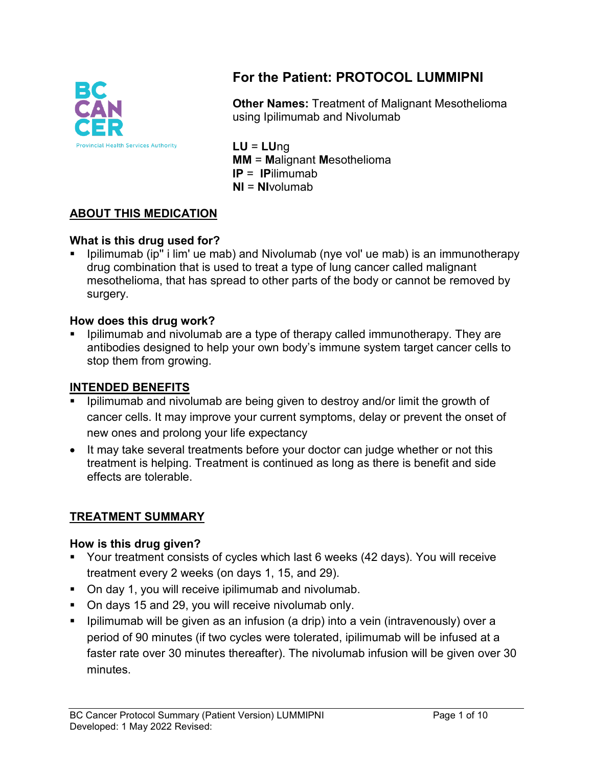

# **For the Patient: PROTOCOL LUMMIPNI**

**Other Names:** Treatment of Malignant Mesothelioma using Ipilimumab and Nivolumab

**LU** = **LU**ng **MM** = **M**alignant **M**esothelioma **IP** = **IP**ilimumab **NI** = **NI**volumab

## **ABOUT THIS MEDICATION**

## **What is this drug used for?**

 Ipilimumab (ip'' i lim' ue mab) and Nivolumab (nye vol' ue mab) is an immunotherapy drug combination that is used to treat a type of lung cancer called malignant mesothelioma, that has spread to other parts of the body or cannot be removed by surgery.

## **How does this drug work?**

• Ipilimumab and nivolumab are a type of therapy called immunotherapy. They are antibodies designed to help your own body's immune system target cancer cells to stop them from growing.

## **INTENDED BENEFITS**

- Ipilimumab and nivolumab are being given to destroy and/or limit the growth of cancer cells. It may improve your current symptoms, delay or prevent the onset of new ones and prolong your life expectancy
- It may take several treatments before your doctor can judge whether or not this treatment is helping. Treatment is continued as long as there is benefit and side effects are tolerable.

## **TREATMENT SUMMARY**

## **How is this drug given?**

- Your treatment consists of cycles which last 6 weeks (42 days). You will receive treatment every 2 weeks (on days 1, 15, and 29).
- On day 1, you will receive ipilimumab and nivolumab.
- On days 15 and 29, you will receive nivolumab only.
- Ipilimumab will be given as an infusion (a drip) into a vein (intravenously) over a period of 90 minutes (if two cycles were tolerated, ipilimumab will be infused at a faster rate over 30 minutes thereafter). The nivolumab infusion will be given over 30 minutes.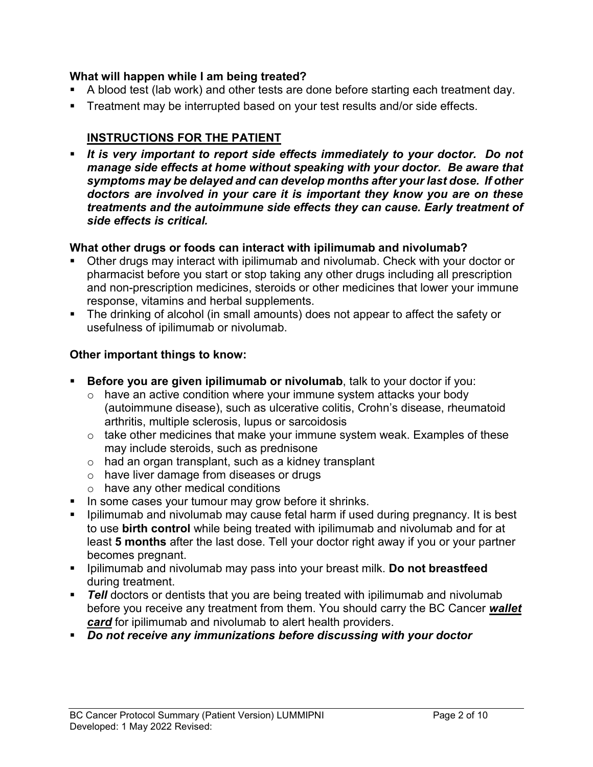### **What will happen while I am being treated?**

- A blood test (lab work) and other tests are done before starting each treatment day.
- **Treatment may be interrupted based on your test results and/or side effects.**

## **INSTRUCTIONS FOR THE PATIENT**

**If is very important to report side effects immediately to your doctor.** Do not *manage side effects at home without speaking with your doctor. Be aware that symptoms may be delayed and can develop months after your last dose. If other doctors are involved in your care it is important they know you are on these treatments and the autoimmune side effects they can cause. Early treatment of side effects is critical.* 

#### **What other drugs or foods can interact with ipilimumab and nivolumab?**

- Other drugs may interact with ipilimumab and nivolumab. Check with your doctor or pharmacist before you start or stop taking any other drugs including all prescription and non-prescription medicines, steroids or other medicines that lower your immune response, vitamins and herbal supplements.
- The drinking of alcohol (in small amounts) does not appear to affect the safety or usefulness of ipilimumab or nivolumab.

#### **Other important things to know:**

- **Before you are given ipilimumab or nivolumab**, talk to your doctor if you:
	- $\circ$  have an active condition where your immune system attacks your body (autoimmune disease), such as ulcerative colitis, Crohn's disease, rheumatoid arthritis, multiple sclerosis, lupus or sarcoidosis
	- o take other medicines that make your immune system weak. Examples of these may include steroids, such as prednisone
	- o had an organ transplant, such as a kidney transplant
	- o have liver damage from diseases or drugs
	- o have any other medical conditions
- In some cases your tumour may grow before it shrinks.
- Ipilimumab and nivolumab may cause fetal harm if used during pregnancy. It is best to use **birth control** while being treated with ipilimumab and nivolumab and for at least **5 months** after the last dose. Tell your doctor right away if you or your partner becomes pregnant.
- **Ipilimumab and nivolumab may pass into your breast milk. Do not breastfeed** during treatment.
- **Tell** doctors or dentists that you are being treated with ipilimumab and nivolumab before you receive any treatment from them. You should carry the BC Cancer *wallet card* for ipilimumab and nivolumab to alert health providers.
- *Do not receive any immunizations before discussing with your doctor*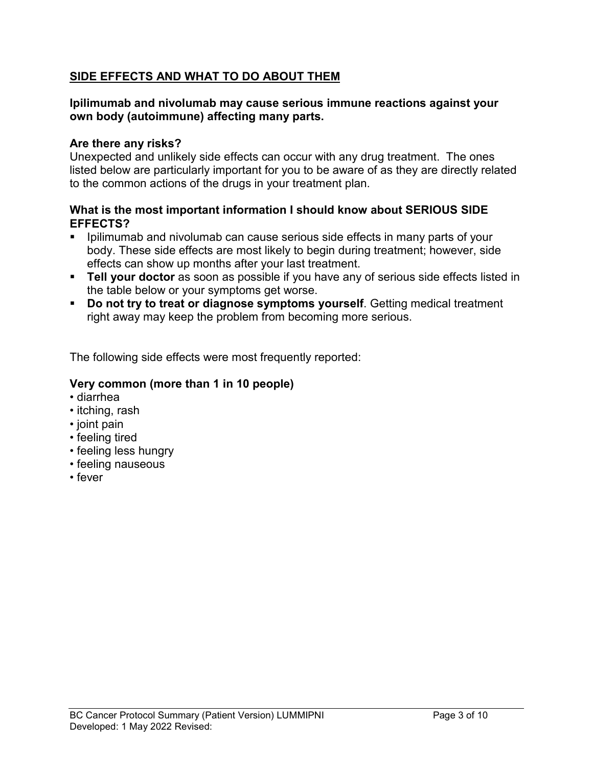## **SIDE EFFECTS AND WHAT TO DO ABOUT THEM**

#### **Ipilimumab and nivolumab may cause serious immune reactions against your own body (autoimmune) affecting many parts.**

#### **Are there any risks?**

Unexpected and unlikely side effects can occur with any drug treatment. The ones listed below are particularly important for you to be aware of as they are directly related to the common actions of the drugs in your treatment plan.

#### **What is the most important information I should know about SERIOUS SIDE EFFECTS?**

- **I** Ipilimumab and nivolumab can cause serious side effects in many parts of your body. These side effects are most likely to begin during treatment; however, side effects can show up months after your last treatment.
- **Tell your doctor** as soon as possible if you have any of serious side effects listed in the table below or your symptoms get worse.
- **Do not try to treat or diagnose symptoms yourself**. Getting medical treatment right away may keep the problem from becoming more serious.

The following side effects were most frequently reported:

## **Very common (more than 1 in 10 people)**

- diarrhea
- itching, rash
- joint pain
- feeling tired
- feeling less hungry
- feeling nauseous
- fever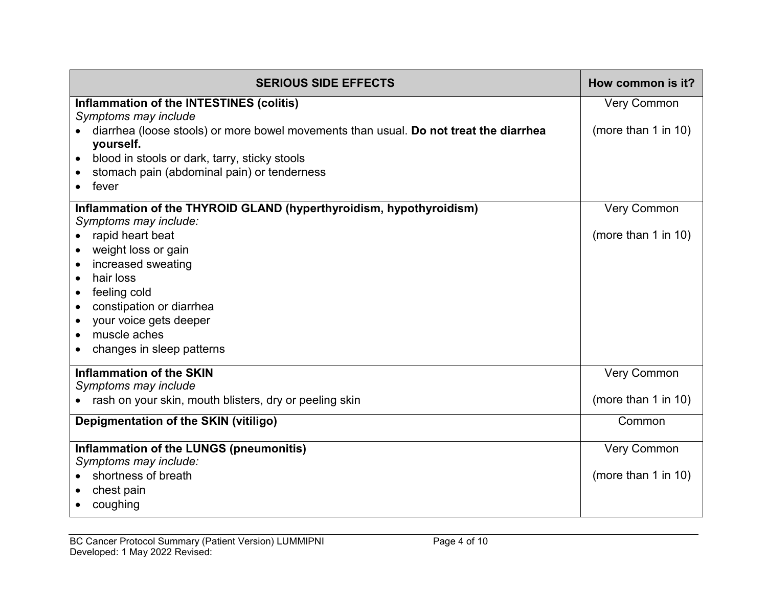| <b>SERIOUS SIDE EFFECTS</b>                                                                        | How common is it?   |
|----------------------------------------------------------------------------------------------------|---------------------|
| Inflammation of the INTESTINES (colitis)                                                           | <b>Very Common</b>  |
| Symptoms may include                                                                               |                     |
| diarrhea (loose stools) or more bowel movements than usual. Do not treat the diarrhea<br>yourself. | (more than 1 in 10) |
| blood in stools or dark, tarry, sticky stools                                                      |                     |
| stomach pain (abdominal pain) or tenderness                                                        |                     |
| fever                                                                                              |                     |
| Inflammation of the THYROID GLAND (hyperthyroidism, hypothyroidism)                                | <b>Very Common</b>  |
| Symptoms may include:                                                                              |                     |
| rapid heart beat                                                                                   | (more than 1 in 10) |
| weight loss or gain                                                                                |                     |
| increased sweating                                                                                 |                     |
| hair loss                                                                                          |                     |
| feeling cold<br>$\bullet$                                                                          |                     |
| constipation or diarrhea                                                                           |                     |
| your voice gets deeper                                                                             |                     |
| muscle aches                                                                                       |                     |
| changes in sleep patterns                                                                          |                     |
| <b>Inflammation of the SKIN</b>                                                                    | <b>Very Common</b>  |
| Symptoms may include                                                                               |                     |
| rash on your skin, mouth blisters, dry or peeling skin                                             | (more than 1 in 10) |
| Depigmentation of the SKIN (vitiligo)                                                              | Common              |
| Inflammation of the LUNGS (pneumonitis)                                                            | <b>Very Common</b>  |
| Symptoms may include:                                                                              |                     |
| shortness of breath                                                                                | (more than 1 in 10) |
| chest pain                                                                                         |                     |
| coughing                                                                                           |                     |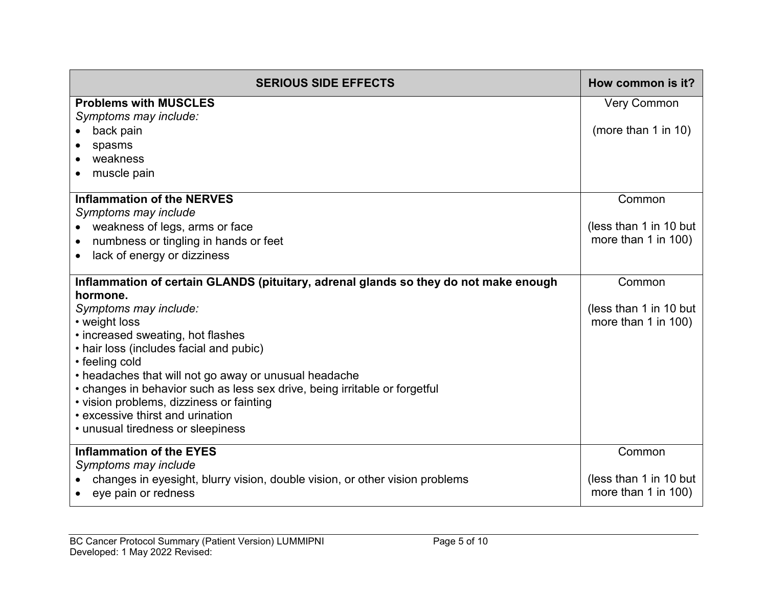| <b>SERIOUS SIDE EFFECTS</b>                                                          | How common is it?      |
|--------------------------------------------------------------------------------------|------------------------|
| <b>Problems with MUSCLES</b>                                                         | <b>Very Common</b>     |
| Symptoms may include:                                                                |                        |
| back pain                                                                            | (more than 1 in 10)    |
| spasms                                                                               |                        |
| weakness                                                                             |                        |
| muscle pain                                                                          |                        |
| <b>Inflammation of the NERVES</b>                                                    | Common                 |
| Symptoms may include                                                                 |                        |
| weakness of legs, arms or face                                                       | (less than 1 in 10 but |
| numbness or tingling in hands or feet                                                | more than 1 in 100)    |
| lack of energy or dizziness                                                          |                        |
| Inflammation of certain GLANDS (pituitary, adrenal glands so they do not make enough | Common                 |
| hormone.                                                                             |                        |
| Symptoms may include:                                                                | (less than 1 in 10 but |
| • weight loss                                                                        | more than 1 in 100)    |
| • increased sweating, hot flashes                                                    |                        |
| • hair loss (includes facial and pubic)                                              |                        |
| • feeling cold                                                                       |                        |
| • headaches that will not go away or unusual headache                                |                        |
| • changes in behavior such as less sex drive, being irritable or forgetful           |                        |
| • vision problems, dizziness or fainting<br>• excessive thirst and urination         |                        |
|                                                                                      |                        |
| • unusual tiredness or sleepiness                                                    |                        |
| <b>Inflammation of the EYES</b>                                                      | Common                 |
| Symptoms may include                                                                 |                        |
| changes in eyesight, blurry vision, double vision, or other vision problems          | (less than 1 in 10 but |
| eye pain or redness                                                                  | more than 1 in 100)    |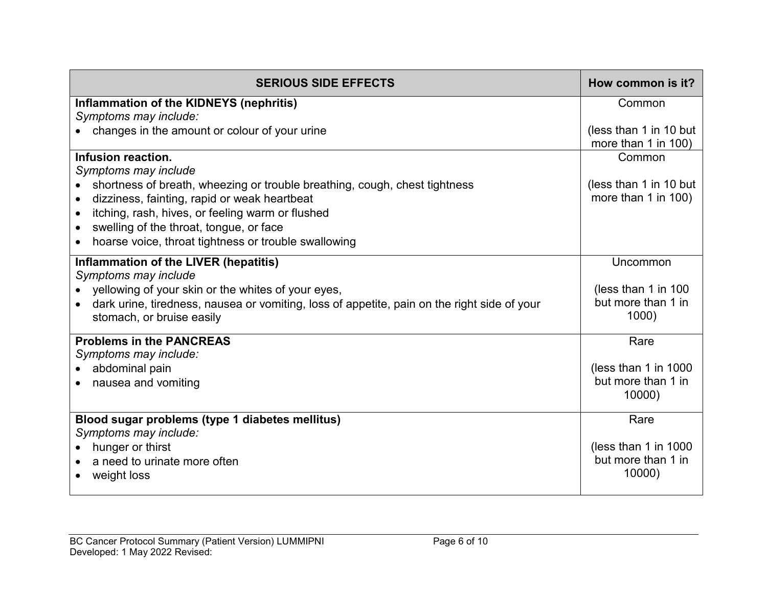| <b>SERIOUS SIDE EFFECTS</b>                                                                 | How common is it?      |
|---------------------------------------------------------------------------------------------|------------------------|
| Inflammation of the KIDNEYS (nephritis)                                                     | Common                 |
| Symptoms may include:                                                                       |                        |
| changes in the amount or colour of your urine                                               | (less than 1 in 10 but |
|                                                                                             | more than 1 in 100)    |
| Infusion reaction.                                                                          | Common                 |
| Symptoms may include                                                                        |                        |
| shortness of breath, wheezing or trouble breathing, cough, chest tightness                  | (less than 1 in 10 but |
| dizziness, fainting, rapid or weak heartbeat                                                | more than 1 in 100)    |
| itching, rash, hives, or feeling warm or flushed                                            |                        |
| swelling of the throat, tongue, or face                                                     |                        |
| hoarse voice, throat tightness or trouble swallowing                                        |                        |
| Inflammation of the LIVER (hepatitis)                                                       | Uncommon               |
| Symptoms may include                                                                        |                        |
| yellowing of your skin or the whites of your eyes,                                          | (less than 1 in 100)   |
| dark urine, tiredness, nausea or vomiting, loss of appetite, pain on the right side of your | but more than 1 in     |
| stomach, or bruise easily                                                                   | $1000$ )               |
| <b>Problems in the PANCREAS</b>                                                             | Rare                   |
| Symptoms may include:                                                                       |                        |
| abdominal pain                                                                              | (less than 1 in 1000   |
| nausea and vomiting                                                                         | but more than 1 in     |
|                                                                                             | 10000)                 |
| Blood sugar problems (type 1 diabetes mellitus)                                             | Rare                   |
| Symptoms may include:                                                                       |                        |
| hunger or thirst                                                                            | (less than 1 in 1000   |
| a need to urinate more often                                                                | but more than 1 in     |
| weight loss                                                                                 | 10000)                 |
|                                                                                             |                        |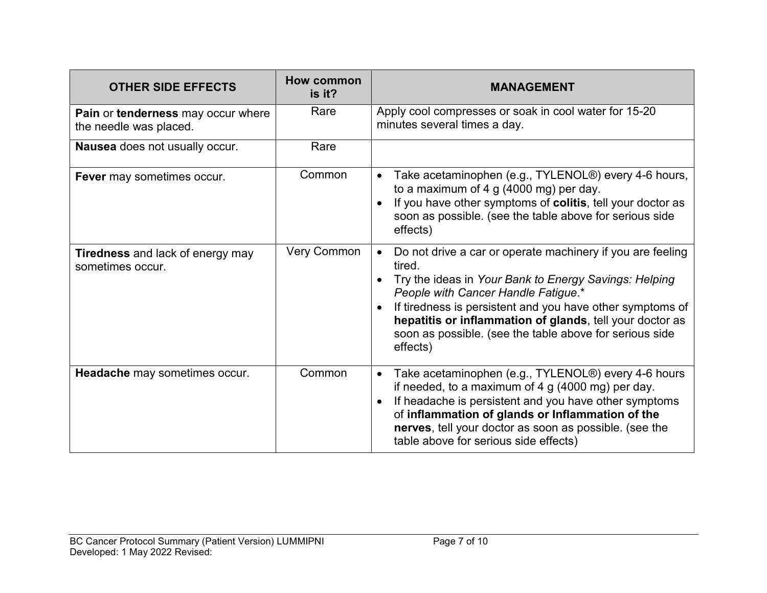| <b>OTHER SIDE EFFECTS</b>                                           | <b>How common</b><br>is it? | <b>MANAGEMENT</b>                                                                                                                                                                                                                                                                                                                                                    |
|---------------------------------------------------------------------|-----------------------------|----------------------------------------------------------------------------------------------------------------------------------------------------------------------------------------------------------------------------------------------------------------------------------------------------------------------------------------------------------------------|
| <b>Pain or tenderness may occur where</b><br>the needle was placed. | Rare                        | Apply cool compresses or soak in cool water for 15-20<br>minutes several times a day.                                                                                                                                                                                                                                                                                |
| <b>Nausea</b> does not usually occur.                               | Rare                        |                                                                                                                                                                                                                                                                                                                                                                      |
| Fever may sometimes occur.                                          | Common                      | Take acetaminophen (e.g., TYLENOL®) every 4-6 hours,<br>to a maximum of 4 g $(4000 \text{ mg})$ per day.<br>If you have other symptoms of colitis, tell your doctor as<br>soon as possible. (see the table above for serious side<br>effects)                                                                                                                        |
| <b>Tiredness</b> and lack of energy may<br>sometimes occur.         | <b>Very Common</b>          | Do not drive a car or operate machinery if you are feeling<br>tired.<br>Try the ideas in Your Bank to Energy Savings: Helping<br>People with Cancer Handle Fatigue.*<br>If tiredness is persistent and you have other symptoms of<br>hepatitis or inflammation of glands, tell your doctor as<br>soon as possible. (see the table above for serious side<br>effects) |
| Headache may sometimes occur.                                       | Common                      | Take acetaminophen (e.g., TYLENOL®) every 4-6 hours<br>$\bullet$<br>if needed, to a maximum of 4 g (4000 mg) per day.<br>If headache is persistent and you have other symptoms<br>of inflammation of glands or Inflammation of the<br>nerves, tell your doctor as soon as possible. (see the<br>table above for serious side effects)                                |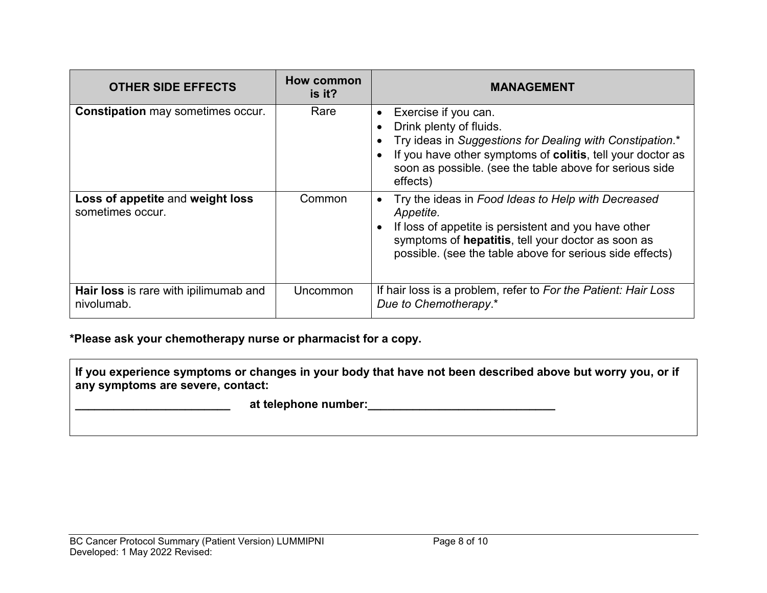| <b>OTHER SIDE EFFECTS</b>                            | How common<br>is it? | <b>MANAGEMENT</b>                                                                                                                                                                                                                                             |
|------------------------------------------------------|----------------------|---------------------------------------------------------------------------------------------------------------------------------------------------------------------------------------------------------------------------------------------------------------|
| <b>Constipation may sometimes occur.</b>             | Rare                 | Exercise if you can.<br>$\bullet$<br>Drink plenty of fluids.<br>Try ideas in Suggestions for Dealing with Constipation.*<br>If you have other symptoms of colitis, tell your doctor as<br>soon as possible. (see the table above for serious side<br>effects) |
| Loss of appetite and weight loss<br>sometimes occur. | Common               | Try the ideas in Food Ideas to Help with Decreased<br>Appetite.<br>If loss of appetite is persistent and you have other<br>symptoms of hepatitis, tell your doctor as soon as<br>possible. (see the table above for serious side effects)                     |
| Hair loss is rare with ipilimumab and<br>nivolumab.  | Uncommon             | If hair loss is a problem, refer to For the Patient: Hair Loss<br>Due to Chemotherapy.*                                                                                                                                                                       |

**\*Please ask your chemotherapy nurse or pharmacist for a copy.**

| If you experience symptoms or changes in your body that have not been described above but worry you, or if |
|------------------------------------------------------------------------------------------------------------|
| any symptoms are severe, contact:                                                                          |

**\_\_\_\_\_\_\_\_\_\_\_\_\_\_\_\_\_\_\_\_\_\_\_\_ at telephone number:\_\_\_\_\_\_\_\_\_\_\_\_\_\_\_\_\_\_\_\_\_\_\_\_\_\_\_\_\_**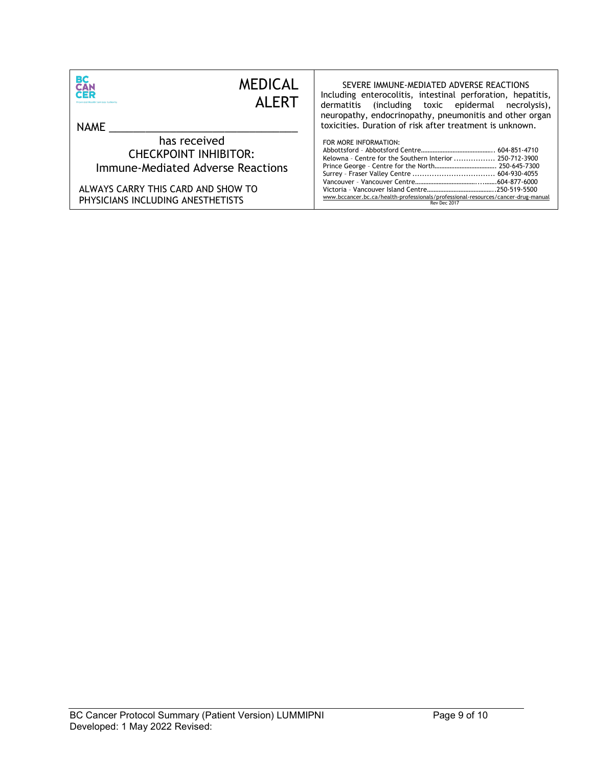| <b>BC</b><br>CAN<br><b>MEDICAL</b><br><b>AI FRT</b><br>NAME                                                                                                  | SEVERE IMMUNE-MEDIATED ADVERSE REACTIONS<br>Including enterocolitis, intestinal perforation, hepatitis,<br>dermatitis (including toxic epidermal necrolysis),<br>neuropathy, endocrinopathy, pneumonitis and other organ<br>toxicities. Duration of risk after treatment is unknown. |
|--------------------------------------------------------------------------------------------------------------------------------------------------------------|--------------------------------------------------------------------------------------------------------------------------------------------------------------------------------------------------------------------------------------------------------------------------------------|
| has received<br><b>CHECKPOINT INHIBITOR:</b><br>Immune-Mediated Adverse Reactions<br>ALWAYS CARRY THIS CARD AND SHOW TO<br>PHYSICIANS INCLUDING ANESTHETISTS | FOR MORE INFORMATION:<br>Kelowna - Centre for the Southern Interior  250-712-3900<br>www.bccancer.bc.ca/health-professionals/professional-resources/cancer-drug-manual<br>Rev Dec 2017                                                                                               |